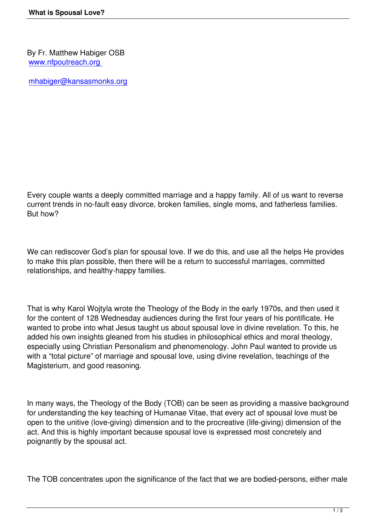By Fr. Matthew Habiger OSB [www.nfpoutreach.org](http://www.nfpoutreach.org) 

[This e-mail address is being protected from spambots. You need JavaScript enabled to view it
 '>mhabiger@kansasmonks.org](mailto:
 <script language=)

Every couple wants a deeply committed marriage and a happy family. All of us want to reverse current trends in no-fault easy divorce, broken families, single moms, and fatherless families. But how?

We can rediscover God's plan for spousal love. If we do this, and use all the helps He provides to make this plan possible, then there will be a return to successful marriages, committed relationships, and healthy-happy families.

That is why Karol Wojtyla wrote the Theology of the Body in the early 1970s, and then used it for the content of 128 Wednesday audiences during the first four years of his pontificate. He wanted to probe into what Jesus taught us about spousal love in divine revelation. To this, he added his own insights gleaned from his studies in philosophical ethics and moral theology, especially using Christian Personalism and phenomenology. John Paul wanted to provide us with a "total picture" of marriage and spousal love, using divine revelation, teachings of the Magisterium, and good reasoning.

In many ways, the Theology of the Body (TOB) can be seen as providing a massive background for understanding the key teaching of Humanae Vitae, that every act of spousal love must be open to the unitive (love-giving) dimension and to the procreative (life-giving) dimension of the act. And this is highly important because spousal love is expressed most concretely and poignantly by the spousal act.

The TOB concentrates upon the significance of the fact that we are bodied-persons, either male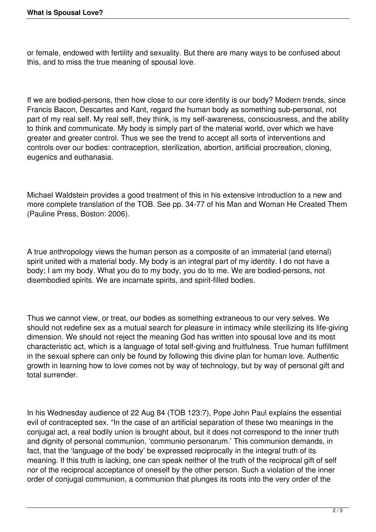or female, endowed with fertility and sexuality. But there are many ways to be confused about this, and to miss the true meaning of spousal love.

If we are bodied-persons, then how close to our core identity is our body? Modern trends, since Francis Bacon, Descartes and Kant, regard the human body as something sub-personal, not part of my real self. My real self, they think, is my self-awareness, consciousness, and the ability to think and communicate. My body is simply part of the material world, over which we have greater and greater control. Thus we see the trend to accept all sorts of interventions and controls over our bodies: contraception, sterilization, abortion, artificial procreation, cloning, eugenics and euthanasia.

Michael Waldstein provides a good treatment of this in his extensive introduction to a new and more complete translation of the TOB. See pp. 34-77 of his Man and Woman He Created Them (Pauline Press, Boston: 2006).

A true anthropology views the human person as a composite of an immaterial (and eternal) spirit united with a material body. My body is an integral part of my identity. I do not have a body; I am my body. What you do to my body, you do to me. We are bodied-persons, not disembodied spirits. We are incarnate spirits, and spirit-filled bodies.

Thus we cannot view, or treat, our bodies as something extraneous to our very selves. We should not redefine sex as a mutual search for pleasure in intimacy while sterilizing its life-giving dimension. We should not reject the meaning God has written into spousal love and its most characteristic act, which is a language of total self-giving and fruitfulness. True human fulfillment in the sexual sphere can only be found by following this divine plan for human love. Authentic growth in learning how to love comes not by way of technology, but by way of personal gift and total surrender.

In his Wednesday audience of 22 Aug 84 (TOB 123:7), Pope John Paul explains the essential evil of contracepted sex. "In the case of an artificial separation of these two meanings in the conjugal act, a real bodily union is brought about, but it does not correspond to the inner truth and dignity of personal communion, 'communio personarum.' This communion demands, in fact, that the 'language of the body' be expressed reciprocally in the integral truth of its meaning. If this truth is lacking, one can speak neither of the truth of the reciprocal gift of self nor of the reciprocal acceptance of oneself by the other person. Such a violation of the inner order of conjugal communion, a communion that plunges its roots into the very order of the